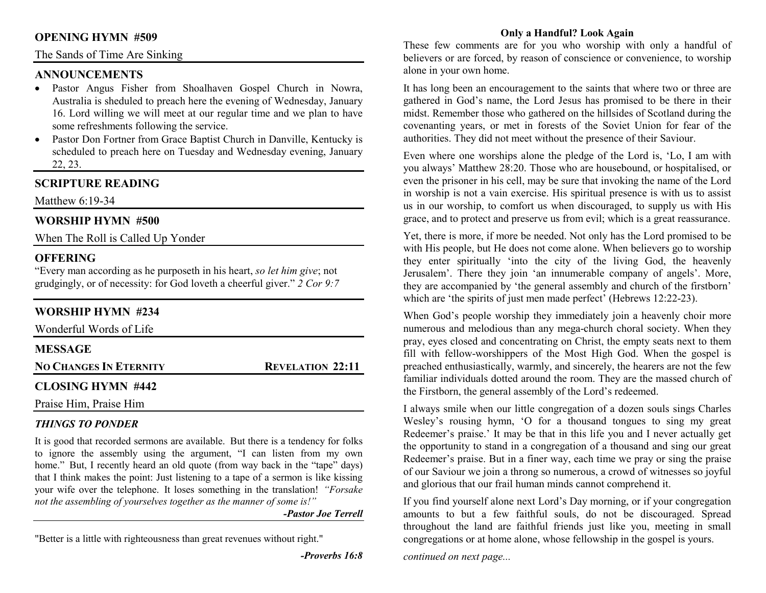#### **OPENING HYMN #509**

#### The Sands of Time Are Sinking

#### **ANNOUNCEMENTS**

- Pastor Angus Fisher from Shoalhaven Gospel Church in Nowra, •Australia is sheduled to preach here the evening of Wednesday, January 16. Lord willing we will meet at our regular time and we plan to have some refreshments following the service.
- Pastor Don Fortner from Grace Baptist Church in Danville, Kentucky is •scheduled to preach here on Tuesday and Wednesday evening, January 22, 23.

## **SCRIPTURE READING**

Matthew 6:19-34

#### **WORSHIP HYMN #500**

When The Roll is Called Up Yonder

## **OFFERING**

 "Every man according as he purposeth in his heart, *so let him give*; not grudgingly, or of necessity: for God loveth a cheerful giver." *2 Cor 9:7*

## **WORSHIP HYMN #234**

| Wonderful Words of Life       |                         |
|-------------------------------|-------------------------|
| <b>MESSAGE</b>                |                         |
| <b>NO CHANGES IN ETERNITY</b> | <b>REVELATION 22:11</b> |
| <b>CLOSING HYMN #442</b>      |                         |
| Praise Him, Praise Him        |                         |

## *THINGS TO PONDER*

 It is good that recorded sermons are available. But there is a tendency for folks to ignore the assembly using the argument, "I can listen from my own home." But, I recently heard an old quote (from way back in the "tape" days) that I think makes the point: Just listening to a tape of a sermon is like kissing your wife over the telephone. It loses something in the translation! *"Forsake not the assembling of yourselves together as the manner of some is!"* 

*-Pastor Joe Terrell*

"Better is a little with righteousness than great revenues without right."

*-Proverbs 16:8* 

## **Only a Handful? Look Again**

 These few comments are for you who worship with only a handful of believers or are forced, by reason of conscience or convenience, to worship alone in your own home.

It has long been an encouragement to the saints that where two or three are gathered in God's name, the Lord Jesus has promised to be there in their midst. Remember those who gathered on the hillsides of Scotland during the covenanting years, or met in forests of the Soviet Union for fear of the authorities. They did not meet without the presence of their Saviour.

Even where one worships alone the pledge of the Lord is, 'Lo, I am with you always' Matthew 28:20. Those who are housebound, or hospitalised, or even the prisoner in his cell, may be sure that invoking the name of the Lord in worship is not a vain exercise. His spiritual presence is with us to assist us in our worship, to comfort us when discouraged, to supply us with His grace, and to protect and preserve us from evil; which is a great reassurance.

Yet, there is more, if more be needed. Not only has the Lord promised to be with His people, but He does not come alone. When believers go to worship they enter spiritually 'into the city of the living God, the heavenly Jerusalem'. There they join 'an innumerable company of angels'. More, they are accompanied by 'the general assembly and church of the firstborn' which are 'the spirits of just men made perfect' (Hebrews 12:22-23).

When God's people worship they immediately join a heavenly choir more numerous and melodious than any mega-church choral society. When they pray, eyes closed and concentrating on Christ, the empty seats next to them fill with fellow-worshippers of the Most High God. When the gospel is preached enthusiastically, warmly, and sincerely, the hearers are not the few familiar individuals dotted around the room. They are the massed church of the Firstborn, the general assembly of the Lord's redeemed.

I always smile when our little congregation of a dozen souls sings Charles Wesley's rousing hymn, 'O for a thousand tongues to sing my great Redeemer's praise.' It may be that in this life you and I never actually get the opportunity to stand in a congregation of a thousand and sing our great Redeemer's praise. But in a finer way, each time we pray or sing the praise of our Saviour we join a throng so numerous, a crowd of witnesses so joyful and glorious that our frail human minds cannot comprehend it.

If you find yourself alone next Lord's Day morning, or if your congregation amounts to but a few faithful souls, do not be discouraged. Spread throughout the land are faithful friends just like you, meeting in small congregations or at home alone, whose fellowship in the gospel is yours.

*continued on next page...*